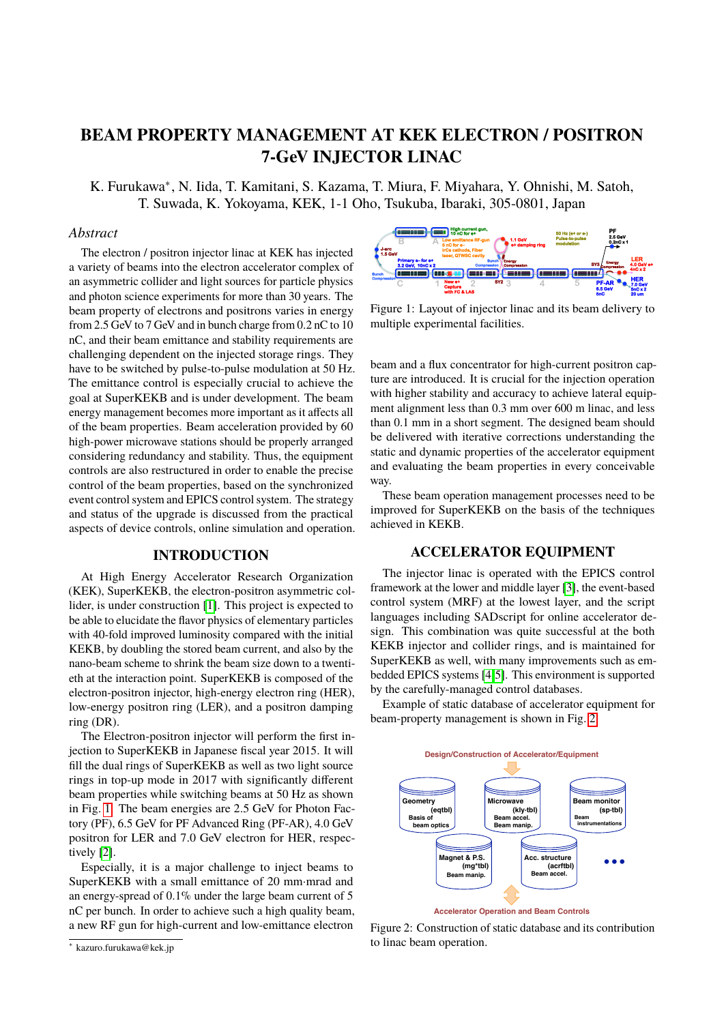# **BEAM PROPERTY MANAGEMENT AT KEK ELECTRON / POSITRON 7-GeV INJECTOR LINAC**

K. Furukawa<sup>∗</sup> , N. Iida, T. Kamitani, S. Kazama, T. Miura, F. Miyahara, Y. Ohnishi, M. Satoh, T. Suwada, K. Yokoyama, KEK, 1-1 Oho, Tsukuba, Ibaraki, 305-0801, Japan

## *Abstract*

The electron / positron injector linac at KEK has injected a variety of beams into the electron accelerator complex of an asymmetric collider and light sources for particle physics and photon science experiments for more than 30 years. The beam property of electrons and positrons varies in energy from 2.5 GeV to 7 GeV and in bunch charge from 0.2 nC to 10 nC, and their beam emittance and stability requirements are challenging dependent on the injected storage rings. They have to be switched by pulse-to-pulse modulation at 50 Hz. The emittance control is especially crucial to achieve the goal at SuperKEKB and is under development. The beam energy management becomes more important as it affects all of the beam properties. Beam acceleration provided by 60 high-power microwave stations should be properly arranged considering redundancy and stability. Thus, the equipment controls are also restructured in order to enable the precise control of the beam properties, based on the synchronized event control system and EPICS control system. The strategy and status of the upgrade is discussed from the practical aspects of device controls, online simulation and operation. an asymmetric collider and light sources for particle physics<br>and photon science experiments for more than 30 years. The<br>chem property of electrons and positrons varies in energy<br>Fig. from 2.5 GeV to TGeV and in bunch cha

## **INTRODUCTION**

At High Energy Accelerator Research Organization (KEK), SuperKEKB, the electron-positron asymmetric col-lider, is under construction [\[1\]](#page-3-0). This project is expected to be able to elucidate the flavor physics of elementary particles with 40-fold improved luminosity compared with the initial KEKB, by doubling the stored beam current, and also by the nano-beam scheme to shrink the beam size down to a twentieth at the interaction point. SuperKEKB is composed of the electron-positron injector, high-energy electron ring (HER), low-energy positron ring (LER), and a positron damping ring (DR).

The Electron-positron injector will perform the first injection to SuperKEKB in Japanese fiscal year 2015. It will fill the dual rings of SuperKEKB as well as two light source rings in top-up mode in 2017 with significantly different beam properties while switching beams at 50 Hz as shown in Fig. [1.](#page-0-0) The beam energies are 2.5 GeV for Photon Factory (PF), 6.5 GeV for PF Advanced Ring (PF-AR), 4.0 GeV positron for LER and 7.0 GeV electron for HER, respectively [\[2\]](#page-3-1).

Especially, it is a major challenge to inject beams to SuperKEKB with a small emittance of 20 mm·mrad and an energy-spread of 0.1% under the large beam current of 5 nC per bunch. In order to achieve such a high quality beam, a new RF gun for high-current and low-emittance electron

<span id="page-0-0"></span>

Figure 1: Layout of injector linac and its beam delivery to multiple experimental facilities.

beam and a flux concentrator for high-current positron capture are introduced. It is crucial for the injection operation with higher stability and accuracy to achieve lateral equipment alignment less than 0.3 mm over 600 m linac, and less than 0.1 mm in a short segment. The designed beam should be delivered with iterative corrections understanding the static and dynamic properties of the accelerator equipment and evaluating the beam properties in every conceivable way.

These beam operation management processes need to be improved for SuperKEKB on the basis of the techniques achieved in KEKB.

## **ACCELERATOR EQUIPMENT**

The injector linac is operated with the EPICS control framework at the lower and middle layer [\[3\]](#page-3-2), the event-based control system (MRF) at the lowest layer, and the script languages including SADscript for online accelerator design. This combination was quite successful at the both KEKB injector and collider rings, and is maintained for SuperKEKB as well, with many improvements such as embedded EPICS systems [\[4,](#page-3-3)[5\]](#page-3-4). This environment is supported by the carefully-managed control databases.

Example of static database of accelerator equipment for beam-property management is shown in Fig. [2.](#page-0-1)

<span id="page-0-1"></span>

Figure 2: Construction of static database and its contribution to linac beam operation.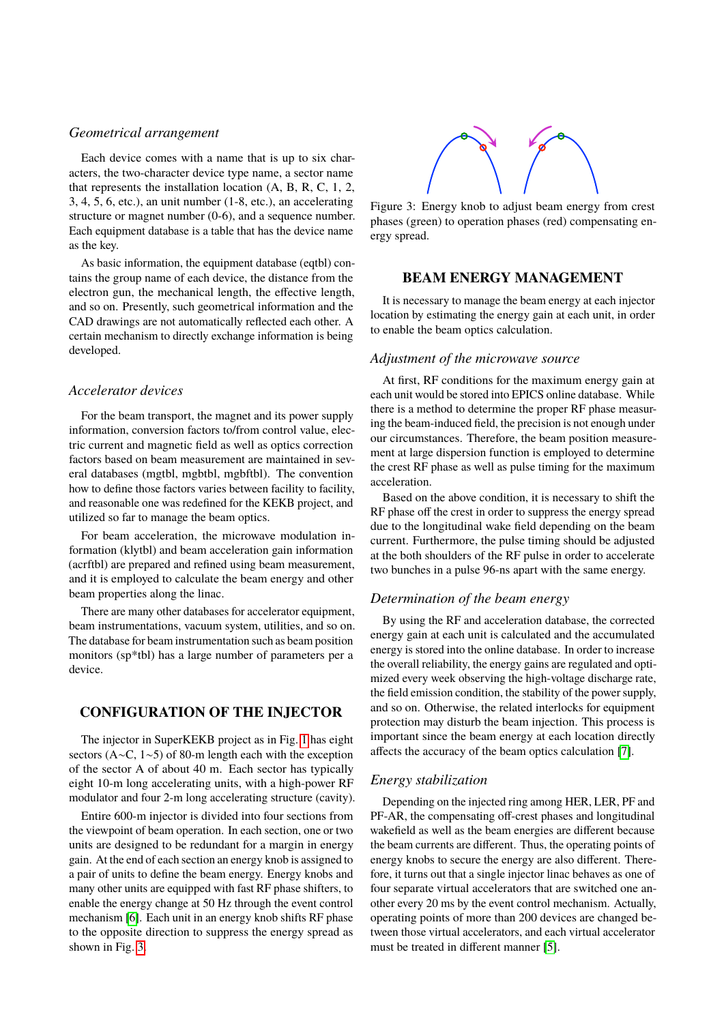#### *Geometrical arrangement*

Each device comes with a name that is up to six characters, the two-character device type name, a sector name that represents the installation location (A, B, R, C, 1, 2, 3, 4, 5, 6, etc.), an unit number (1-8, etc.), an accelerating structure or magnet number (0-6), and a sequence number. Each equipment database is a table that has the device name as the key.

As basic information, the equipment database (eqtbl) contains the group name of each device, the distance from the electron gun, the mechanical length, the effective length, and so on. Presently, such geometrical information and the CAD drawings are not automatically reflected each other. A certain mechanism to directly exchange information is being developed.

#### *Accelerator devices*

For the beam transport, the magnet and its power supply information, conversion factors to/from control value, electric current and magnetic field as well as optics correction factors based on beam measurement are maintained in several databases (mgtbl, mgbtbl, mgbftbl). The convention how to define those factors varies between facility to facility, and reasonable one was redefined for the KEKB project, and utilized so far to manage the beam optics.

For beam acceleration, the microwave modulation information (klytbl) and beam acceleration gain information (acrftbl) are prepared and refined using beam measurement, and it is employed to calculate the beam energy and other beam properties along the linac.

There are many other databases for accelerator equipment, beam instrumentations, vacuum system, utilities, and so on. The database for beam instrumentation such as beam position monitors (sp\*tbl) has a large number of parameters per a device.

## **CONFIGURATION OF THE INJECTOR**

The injector in SuperKEKB project as in Fig. [1](#page-0-0) has eight sectors (A∼C, 1∼5) of 80-m length each with the exception of the sector A of about 40 m. Each sector has typically eight 10-m long accelerating units, with a high-power RF modulator and four 2-m long accelerating structure (cavity).

Entire 600-m injector is divided into four sections from the viewpoint of beam operation. In each section, one or two units are designed to be redundant for a margin in energy gain. At the end of each section an energy knob is assigned to a pair of units to define the beam energy. Energy knobs and many other units are equipped with fast RF phase shifters, to enable the energy change at 50 Hz through the event control mechanism [\[6\]](#page-3-5). Each unit in an energy knob shifts RF phase to the opposite direction to suppress the energy spread as shown in Fig. [3.](#page-1-0)

<span id="page-1-0"></span>

Figure 3: Energy knob to adjust beam energy from crest phases (green) to operation phases (red) compensating energy spread.

### **BEAM ENERGY MANAGEMENT**

It is necessary to manage the beam energy at each injector location by estimating the energy gain at each unit, in order to enable the beam optics calculation.

#### *Adjustment of the microwave source*

At first, RF conditions for the maximum energy gain at each unit would be stored into EPICS online database. While there is a method to determine the proper RF phase measuring the beam-induced field, the precision is not enough under our circumstances. Therefore, the beam position measurement at large dispersion function is employed to determine the crest RF phase as well as pulse timing for the maximum acceleration.

Based on the above condition, it is necessary to shift the RF phase off the crest in order to suppress the energy spread due to the longitudinal wake field depending on the beam current. Furthermore, the pulse timing should be adjusted at the both shoulders of the RF pulse in order to accelerate two bunches in a pulse 96-ns apart with the same energy.

#### *Determination of the beam energy*

By using the RF and acceleration database, the corrected energy gain at each unit is calculated and the accumulated energy is stored into the online database. In order to increase the overall reliability, the energy gains are regulated and optimized every week observing the high-voltage discharge rate, the field emission condition, the stability of the power supply, and so on. Otherwise, the related interlocks for equipment protection may disturb the beam injection. This process is important since the beam energy at each location directly affects the accuracy of the beam optics calculation [\[7\]](#page-3-6).

#### *Energy stabilization*

Depending on the injected ring among HER, LER, PF and PF-AR, the compensating off-crest phases and longitudinal wakefield as well as the beam energies are different because the beam currents are different. Thus, the operating points of energy knobs to secure the energy are also different. Therefore, it turns out that a single injector linac behaves as one of four separate virtual accelerators that are switched one another every 20 ms by the event control mechanism. Actually, operating points of more than 200 devices are changed between those virtual accelerators, and each virtual accelerator must be treated in different manner [\[5\]](#page-3-4).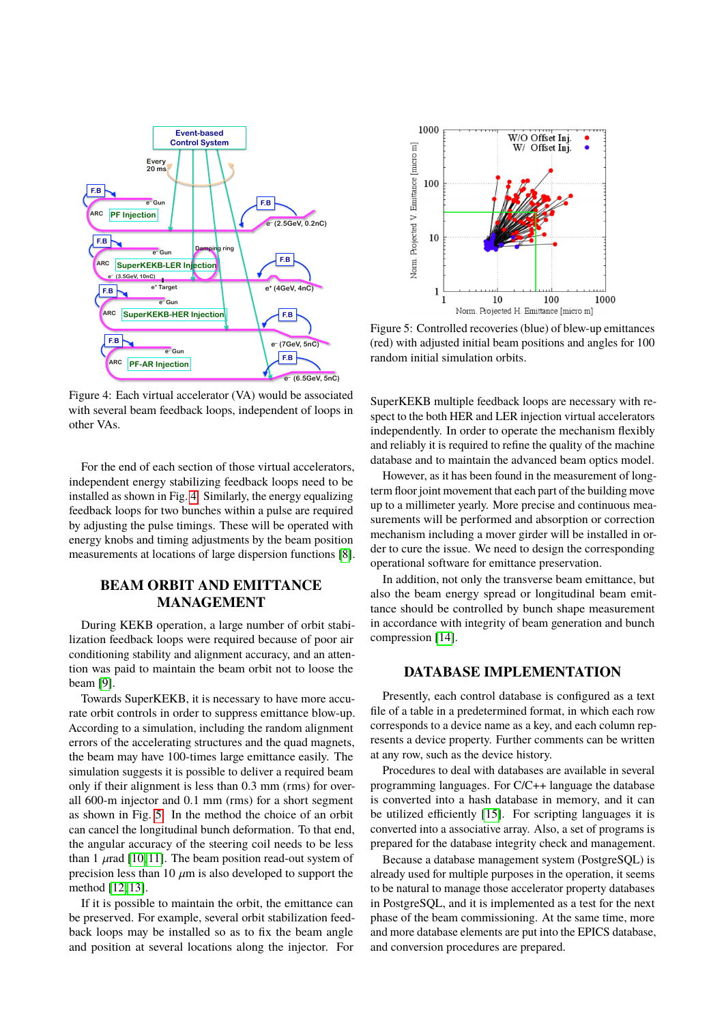<span id="page-2-0"></span>

Figure 4: Each virtual accelerator (VA) would be associated with several beam feedback loops, independent of loops in other VAs.

For the end of each section of those virtual accelerators, independent energy stabilizing feedback loops need to be installed as shown in Fig. [4.](#page-2-0) Similarly, the energy equalizing feedback loops for two bunches within a pulse are required by adjusting the pulse timings. These will be operated with energy knobs and timing adjustments by the beam position measurements at locations of large dispersion functions [\[8\]](#page-3-7).

# **BEAM ORBIT AND EMITTANCE MANAGEMENT**

During KEKB operation, a large number of orbit stabilization feedback loops were required because of poor air conditioning stability and alignment accuracy, and an attention was paid to maintain the beam orbit not to loose the beam [\[9\]](#page-3-8).

Towards SuperKEKB, it is necessary to have more accurate orbit controls in order to suppress emittance blow-up. According to a simulation, including the random alignment errors of the accelerating structures and the quad magnets, the beam may have 100-times large emittance easily. The simulation suggests it is possible to deliver a required beam only if their alignment is less than 0.3 mm (rms) for overall 600-m injector and 0.1 mm (rms) for a short segment as shown in Fig. [5.](#page-2-1) In the method the choice of an orbit can cancel the longitudinal bunch deformation. To that end, the angular accuracy of the steering coil needs to be less than 1  $\mu$ rad [\[10,](#page-3-9) [11\]](#page-3-10). The beam position read-out system of precision less than 10  $\mu$ m is also developed to support the method [\[12,](#page-3-11) [13\]](#page-3-12).

If it is possible to maintain the orbit, the emittance can be preserved. For example, several orbit stabilization feedback loops may be installed so as to fix the beam angle and position at several locations along the injector. For

<span id="page-2-1"></span>

Figure 5: Controlled recoveries (blue) of blew-up emittances (red) with adjusted initial beam positions and angles for 100 random initial simulation orbits.

SuperKEKB multiple feedback loops are necessary with respect to the both HER and LER injection virtual accelerators independently. In order to operate the mechanism flexibly and reliably it is required to refine the quality of the machine database and to maintain the advanced beam optics model.

However, as it has been found in the measurement of longterm floor joint movement that each part of the building move up to a millimeter yearly. More precise and continuous measurements will be performed and absorption or correction mechanism including a mover girder will be installed in order to cure the issue. We need to design the corresponding operational software for emittance preservation.

In addition, not only the transverse beam emittance, but also the beam energy spread or longitudinal beam emittance should be controlled by bunch shape measurement in accordance with integrity of beam generation and bunch compression [\[14\]](#page-3-13).

#### **DATABASE IMPLEMENTATION**

Presently, each control database is configured as a text file of a table in a predetermined format, in which each row corresponds to a device name as a key, and each column represents a device property. Further comments can be written at any row, such as the device history.

Procedures to deal with databases are available in several programming languages. For C/C++ language the database is converted into a hash database in memory, and it can be utilized efficiently [\[15\]](#page-3-14). For scripting languages it is converted into a associative array. Also, a set of programs is prepared for the database integrity check and management.

Because a database management system (PostgreSQL) is already used for multiple purposes in the operation, it seems to be natural to manage those accelerator property databases in PostgreSQL, and it is implemented as a test for the next phase of the beam commissioning. At the same time, more and more database elements are put into the EPICS database, and conversion procedures are prepared.